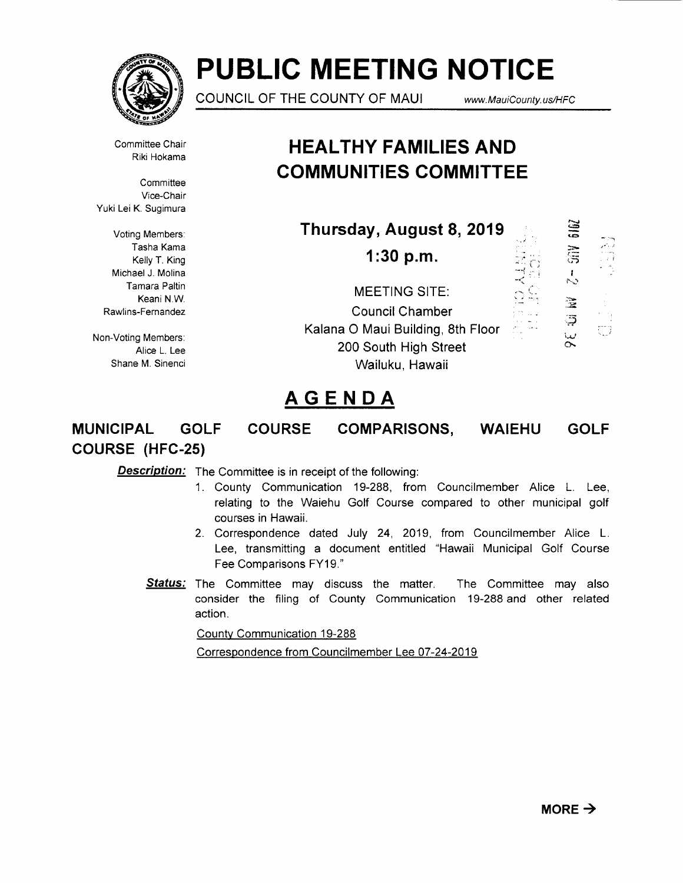

# **PUBLIC MEETING NOTICE**

COUNCIL OF THE COUNTY OF MAUI

www.MauiCounty.us/HFC

Committee Chair Riki Hokama

**Committee** Vice-Chair Yuki Lei K. Sugimura

Voting Members: Tasha Kama Kelly T. King Michael J. Molina Tamara Paltin Keani N.W. Rawlins-Fernandez

Non-Voting Members: Alice L. Lee Shane M. Sinenci

# **HEAL THY FAMILIES AND COMMUNITIES COMMITTEE**

| Thursday, August 8, 2019                                                                                                        | 616Z                | الدارات المسا |
|---------------------------------------------------------------------------------------------------------------------------------|---------------------|---------------|
| $1:30$ p.m.                                                                                                                     | ធិ៍                 | نو - بالنور   |
| <b>MEETING SITE:</b><br><b>Council Chamber</b><br>Kalana O Maui Building, 8th Floor<br>200 South High Street<br>Wailuku, Hawaii | よ<br>宝<br>ಥ<br>ليدأ | ξij           |

# **AGENDA**

# **MUNICIPAL GOLF COURSE COMPARISONS, WAIEHU GOLF COURSE (HFC-25)**

**Description:** The Committee is in receipt of the following:

- 1. County Communication 19-288, from Councilmember Alice L. Lee, relating to the Waiehu Golf Course compared to other municipal golf courses in Hawaii.
- 2. Correspondence dated July 24, 2019, from Councilmember Alice L. Lee, transmitting a document entitled "Hawaii Municipal Golf Course Fee Comparisons FY19."
- **Status:** The Committee may discuss the matter. The Committee may also consider the filing of County Communication 19-288 and other related action.

County Communication 19-288

Correspondence from Councilmember Lee 07-24-2019